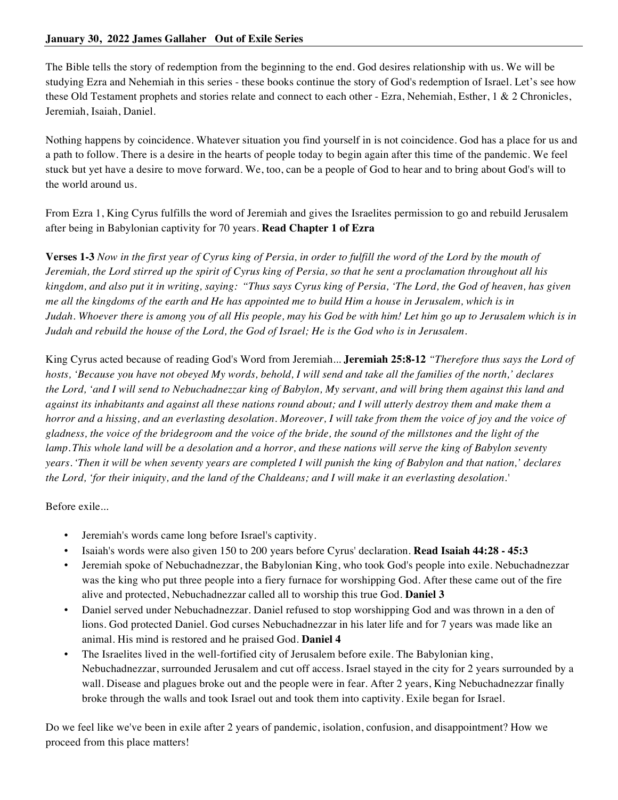The Bible tells the story of redemption from the beginning to the end. God desires relationship with us. We will be studying Ezra and Nehemiah in this series - these books continue the story of God's redemption of Israel. Let's see how these Old Testament prophets and stories relate and connect to each other - Ezra, Nehemiah, Esther, 1 & 2 Chronicles, Jeremiah, Isaiah, Daniel.

Nothing happens by coincidence. Whatever situation you find yourself in is not coincidence. God has a place for us and a path to follow. There is a desire in the hearts of people today to begin again after this time of the pandemic. We feel stuck but yet have a desire to move forward. We, too, can be a people of God to hear and to bring about God's will to the world around us.

From Ezra 1, King Cyrus fulfills the word of Jeremiah and gives the Israelites permission to go and rebuild Jerusalem after being in Babylonian captivity for 70 years. **Read Chapter 1 of Ezra**

**Verses 1-3** *Now in the first year of Cyrus king of Persia, in order to fulfill the word of the Lord by the mouth of Jeremiah, the Lord stirred up the spirit of Cyrus king of Persia, so that he sent a proclamation throughout all his kingdom, and also put it in writing, saying: "Thus says Cyrus king of Persia, 'The Lord, the God of heaven, has given me all the kingdoms of the earth and He has appointed me to build Him a house in Jerusalem, which is in Judah. Whoever there is among you of all His people, may his God be with him! Let him go up to Jerusalem which is in Judah and rebuild the house of the Lord, the God of Israel; He is the God who is in Jerusalem.*

King Cyrus acted because of reading God's Word from Jeremiah..*.* **Jeremiah 25:8-12** *"Therefore thus says the Lord of hosts, 'Because you have not obeyed My words, behold, I will send and take all the families of the north,' declares the Lord, 'and I will send to Nebuchadnezzar king of Babylon, My servant, and will bring them against this land and against its inhabitants and against all these nations round about; and I will utterly destroy them and make them a horror and a hissing, and an everlasting desolation. Moreover, I will take from them the voice of joy and the voice of gladness, the voice of the bridegroom and the voice of the bride, the sound of the millstones and the light of the lamp. This whole land will be a desolation and a horror, and these nations will serve the king of Babylon seventy years.'Then it will be when seventy years are completed I will punish the king of Babylon and that nation,' declares the Lord, 'for their iniquity, and the land of the Chaldeans; and I will make it an everlasting desolation.'*

Before exile...

- Jeremiah's words came long before Israel's captivity.
- Isaiah's words were also given 150 to 200 years before Cyrus' declaration. **Read Isaiah 44:28 - 45:3**
- Jeremiah spoke of Nebuchadnezzar, the Babylonian King, who took God's people into exile. Nebuchadnezzar was the king who put three people into a fiery furnace for worshipping God. After these came out of the fire alive and protected, Nebuchadnezzar called all to worship this true God. **Daniel 3**
- Daniel served under Nebuchadnezzar. Daniel refused to stop worshipping God and was thrown in a den of lions. God protected Daniel. God curses Nebuchadnezzar in his later life and for 7 years was made like an animal. His mind is restored and he praised God. **Daniel 4**
- The Israelites lived in the well-fortified city of Jerusalem before exile. The Babylonian king, Nebuchadnezzar, surrounded Jerusalem and cut off access. Israel stayed in the city for 2 years surrounded by a wall. Disease and plagues broke out and the people were in fear. After 2 years, King Nebuchadnezzar finally broke through the walls and took Israel out and took them into captivity. Exile began for Israel.

Do we feel like we've been in exile after 2 years of pandemic, isolation, confusion, and disappointment? How we proceed from this place matters!